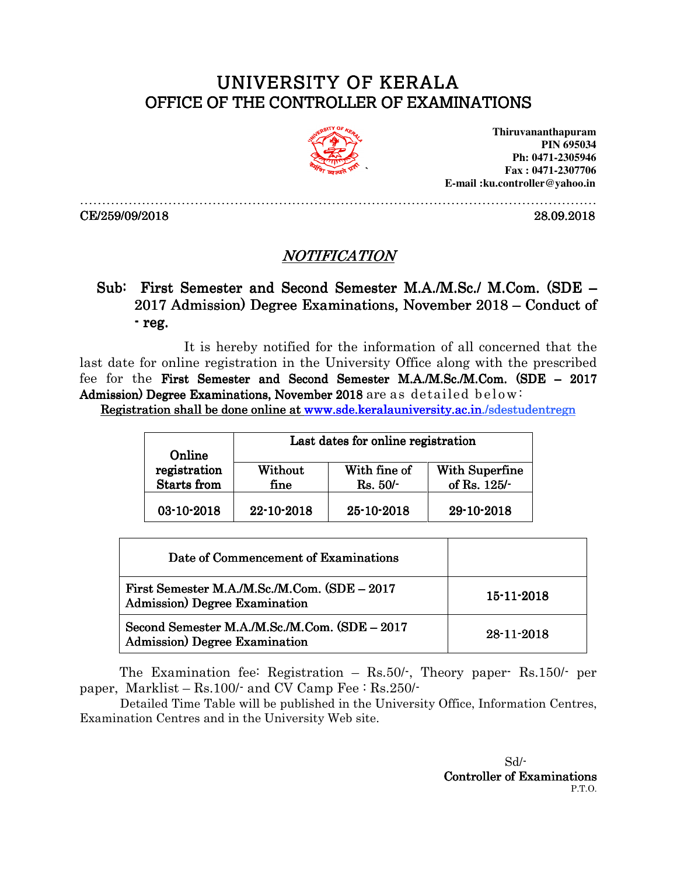## UNIVERSITY OF KERALA OFFICE OF THE CONTROLLER OF EXAMINATIONS



………………………………………………………………………………………………………

**Thiruvananthapuram PIN 695034 Ph: 0471-2305946 Fax : 0471-2307706 E-mail :ku.controller@yahoo.in** 

CE/259/09/2018 28.09.2018

## NOTIFICATION

## Sub: First Semester and Second Semester M.A./M.Sc./ M.Com. (SDE –  $2017$  Admission) Degree Examinations, November  $2018$  – Conduct of -reg.

 It is hereby notified for the information of all concerned that the last date for online registration in the University Office along with the prescribed fee for the First Semester and Second Semester M.A./M.Sc./M.Com. (SDE – 2017 Admission) Degree Examinations, November 2018 are as detailed below:

Registration shall be done online at www.sde.keralauniversity.ac.in./sdestudentregn

|                        |            | Last dates for online registration |                       |
|------------------------|------------|------------------------------------|-----------------------|
| Online<br>registration | Without    | With fine of                       | <b>With Superfine</b> |
| <b>Starts</b> from     | fine       | $Rs. 50/-$                         | of Rs. 125/-          |
| 03-10-2018             | 22-10-2018 | 25-10-2018                         | 29-10-2018            |

| Date of Commencement of Examinations                                                   |                  |
|----------------------------------------------------------------------------------------|------------------|
| First Semester M.A./M.Sc./M.Com. (SDE - 2017<br>Admission) Degree Examination          | $15 - 11 - 2018$ |
| Second Semester M.A./M.Sc./M.Com. (SDE - 2017<br><b>Admission</b> ) Degree Examination | $28 - 11 - 2018$ |

The Examination fee: Registration – Rs.50/-, Theory paper- Rs.150/- per paper, Marklist – Rs.100/- and CV Camp Fee : Rs.250/-

 Detailed Time Table will be published in the University Office, Information Centres, Examination Centres and in the University Web site.